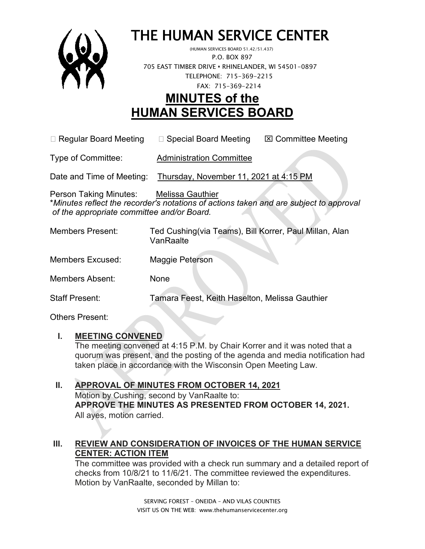

# THE HUMAN SERVICE CENTER (HUMAN SERVICES BOARD 51.42/51.437)

 P.O. BOX 897 705 EAST TIMBER DRIVE **•** RHINELANDER, WI 54501-0897 TELEPHONE: 715-369-2215 FAX: 715-369-2214

# **MINUTES of the HUMAN SERVICES BOARD**

 $\Box$  Regular Board Meeting  $\Box$  Special Board Meeting  $\Box$  Committee Meeting

Type of Committee: Administration Committee

Date and Time of Meeting: Thursday, November 11, 2021 at 4:15 PM

Person Taking Minutes: Melissa Gauthier \**Minutes reflect the recorder's notations of actions taken and are subject to approval of the appropriate committee and/or Board.*

| <b>Members Present:</b> | Ted Cushing(via Teams), Bill Korrer, Paul Millan, Alan<br>VanRaalte |
|-------------------------|---------------------------------------------------------------------|
| <b>Members Excused:</b> | Maggie Peterson                                                     |
| <b>Members Absent:</b>  | None                                                                |
| <b>Staff Present:</b>   | Tamara Feest, Keith Haselton, Melissa Gauthier                      |

Others Present:

# **I. MEETING CONVENED**

The meeting convened at 4:15 P.M. by Chair Korrer and it was noted that a quorum was present, and the posting of the agenda and media notification had taken place in accordance with the Wisconsin Open Meeting Law.

# **II. APPROVAL OF MINUTES FROM OCTOBER 14, 2021** Motion by Cushing, second by VanRaalte to: **APPROVE THE MINUTES AS PRESENTED FROM OCTOBER 14, 2021.**

All ayes, motion carried.

# **III. REVIEW AND CONSIDERATION OF INVOICES OF THE HUMAN SERVICE CENTER: ACTION ITEM**

The committee was provided with a check run summary and a detailed report of checks from 10/8/21 to 11/6/21. The committee reviewed the expenditures. Motion by VanRaalte, seconded by Millan to: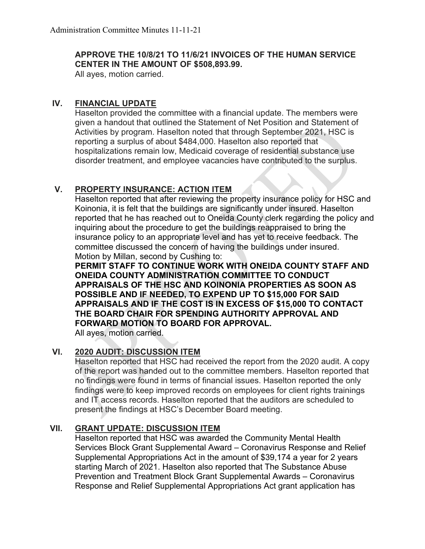#### **APPROVE THE 10/8/21 TO 11/6/21 INVOICES OF THE HUMAN SERVICE CENTER IN THE AMOUNT OF \$508,893.99.**

All ayes, motion carried.

#### **IV. FINANCIAL UPDATE**

Haselton provided the committee with a financial update. The members were given a handout that outlined the Statement of Net Position and Statement of Activities by program. Haselton noted that through September 2021, HSC is reporting a surplus of about \$484,000. Haselton also reported that hospitalizations remain low, Medicaid coverage of residential substance use disorder treatment, and employee vacancies have contributed to the surplus.

# **V. PROPERTY INSURANCE: ACTION ITEM**

Haselton reported that after reviewing the property insurance policy for HSC and Koinonia, it is felt that the buildings are significantly under insured. Haselton reported that he has reached out to Oneida County clerk regarding the policy and inquiring about the procedure to get the buildings reappraised to bring the insurance policy to an appropriate level and has yet to receive feedback. The committee discussed the concern of having the buildings under insured. Motion by Millan, second by Cushing to:

**PERMIT STAFF TO CONTINUE WORK WITH ONEIDA COUNTY STAFF AND ONEIDA COUNTY ADMINISTRATION COMMITTEE TO CONDUCT APPRAISALS OF THE HSC AND KOINONIA PROPERTIES AS SOON AS POSSIBLE AND IF NEEDED, TO EXPEND UP TO \$15,000 FOR SAID APPRAISALS AND IF THE COST IS IN EXCESS OF \$15,000 TO CONTACT THE BOARD CHAIR FOR SPENDING AUTHORITY APPROVAL AND FORWARD MOTION TO BOARD FOR APPROVAL.** 

All ayes, motion carried.

# **VI. 2020 AUDIT: DISCUSSION ITEM**

Haselton reported that HSC had received the report from the 2020 audit. A copy of the report was handed out to the committee members. Haselton reported that no findings were found in terms of financial issues. Haselton reported the only findings were to keep improved records on employees for client rights trainings and IT access records. Haselton reported that the auditors are scheduled to present the findings at HSC's December Board meeting.

# **VII. GRANT UPDATE: DISCUSSION ITEM**

Haselton reported that HSC was awarded the Community Mental Health Services Block Grant Supplemental Award – Coronavirus Response and Relief Supplemental Appropriations Act in the amount of \$39,174 a year for 2 years starting March of 2021. Haselton also reported that The Substance Abuse Prevention and Treatment Block Grant Supplemental Awards – Coronavirus Response and Relief Supplemental Appropriations Act grant application has